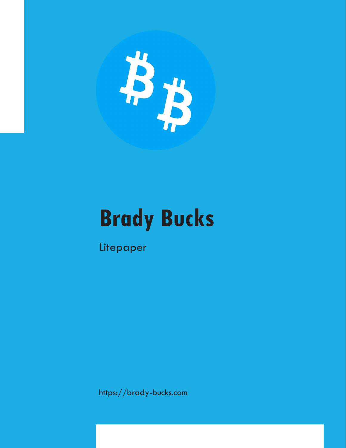

## Brady Bucks

Litepaper

https://brady-bucks.com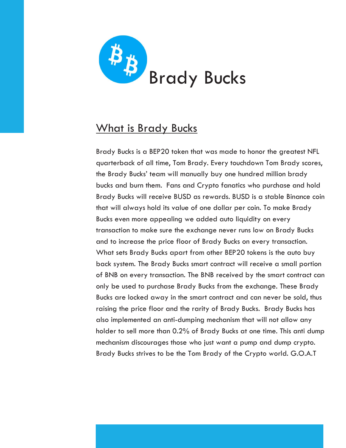

## What is Brady Bucks

Brady Bucks is a BEP20 token that was made to honor the greatest NFL quarterback of all time, Tom Brady. Every touchdown Tom Brady scores, the Brady Bucks' team will manually buy one hundred million brady bucks and burn them. Fans and Crypto fanatics who purchase and hold Brady Bucks will receive BUSD as rewards. BUSD is a stable Binance coin that will always hold its value of one dollar per coin. To make Brady Bucks even more appealing we added auto liquidity on every transaction to make sure the exchange never runs low on Brady Bucks and to increase the price floor of Brady Bucks on every transaction. What sets Brady Bucks apart from other BEP20 tokens is the auto buy back system. The Brady Bucks smart contract will receive a small portion of BNB on every transaction. The BNB received by the smart contract can only be used to purchase Brady Bucks from the exchange. These Brady Bucks are locked away in the smart contract and can never be sold, thus raising the price floor and the rarity of Brady Bucks. Brady Bucks has also implemented an anti-dumping mechanism that will not allow any holder to sell more than 0.2% of Brady Bucks at one time. This anti dump mechanism discourages those who just want a pump and dump crypto. Brady Bucks strives to be the Tom Brady of the Crypto world. G.O.A.T